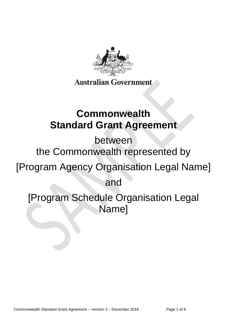

# **Commonwealth Standard Grant Agreement**

between

the Commonwealth represented by

[Program Agency Organisation Legal Name]

and

[Program Schedule Organisation Legal Name]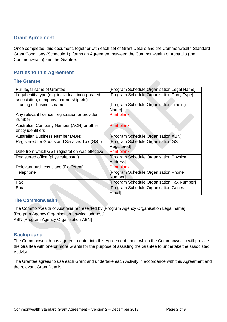# **Grant Agreement**

Once completed, this document, together with each set of Grant Details and the Commonwealth Standard Grant Conditions (Schedule 1), forms an Agreement between the Commonwealth of Australia (the Commonwealth) and the Grantee.

# **Parties to this Agreement**

#### **The Grantee**

| Full legal name of Grantee                                                                 | [Program Schedule Organisation Legal Name]                         |
|--------------------------------------------------------------------------------------------|--------------------------------------------------------------------|
| Legal entity type (e.g. individual, incorporated<br>association, company, partnership etc) | [Program Schedule Organisation Party Type]                         |
| Trading or business name                                                                   | <b>Program Schedule Organisation Trading</b><br><b>Namel</b>       |
| Any relevant licence, registration or provider<br>number                                   | <b>Print blank</b>                                                 |
| Australian Company Number (ACN) or other<br>entity identifiers                             | <b>Print blank</b>                                                 |
| Australian Business Number (ABN)                                                           | [Program Schedule Organisation ABN]                                |
| Registered for Goods and Services Tax (GST)                                                | <b>Program Schedule Organisation GST</b><br>Registered]            |
| Date from which GST registration was effective                                             | <b>Print blank</b>                                                 |
| Registered office (physical/postal)                                                        | Program Schedule Organisation Physical<br>Address1                 |
| Relevant business place (if different)                                                     | <b>Print blank</b>                                                 |
| Telephone                                                                                  | <b>[Program Schedule Organisation Phone</b><br>Number <sub>1</sub> |
| Fax                                                                                        | [Program Schedule Organisation Fax Number]                         |
| Email                                                                                      | [Program Schedule Organisation General<br>Email]                   |

## **The Commonwealth**

The Commonwealth of Australia represented by [Program Agency Organisation Legal name] [Program Agency Organisation physical address] ABN [Program Agency Organisation ABN]

## **Background**

The Commonwealth has agreed to enter into this Agreement under which the Commonwealth will provide the Grantee with one or more Grants for the purpose of assisting the Grantee to undertake the associated Activity.

The Grantee agrees to use each Grant and undertake each Activity in accordance with this Agreement and the relevant Grant Details.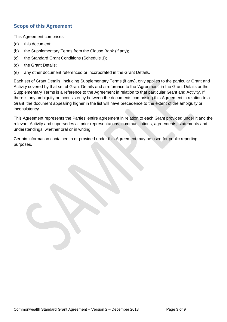# **Scope of this Agreement**

This Agreement comprises:

- (a) this document;
- (b) the Supplementary Terms from the Clause Bank (if any);
- (c) the Standard Grant Conditions (Schedule 1);
- (d) the Grant Details;
- (e) any other document referenced or incorporated in the Grant Details.

Each set of Grant Details, including Supplementary Terms (if any), only applies to the particular Grant and Activity covered by that set of Grant Details and a reference to the 'Agreement' in the Grant Details or the Supplementary Terms is a reference to the Agreement in relation to that particular Grant and Activity. If there is any ambiguity or inconsistency between the documents comprising this Agreement in relation to a Grant, the document appearing higher in the list will have precedence to the extent of the ambiguity or inconsistency.

This Agreement represents the Parties' entire agreement in relation to each Grant provided under it and the relevant Activity and supersedes all prior representations, communications, agreements, statements and understandings, whether oral or in writing.

Certain information contained in or provided under this Agreement may be used for public reporting purposes.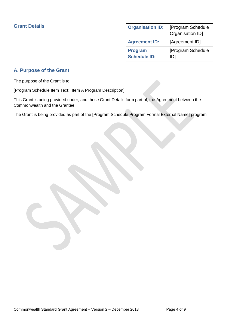| <b>Organisation ID:</b>               | [Program Schedule<br>Organisation ID] |
|---------------------------------------|---------------------------------------|
| <b>Agreement ID:</b>                  | [Agreement ID]                        |
| <b>Program</b><br><b>Schedule ID:</b> | [Program Schedule<br>וטו              |

# **A. Purpose of the Grant**

The purpose of the Grant is to:

[Program Schedule Item Text: Item A Program Description]

This Grant is being provided under, and these Grant Details form part of, the Agreement between the Commonwealth and the Grantee.

The Grant is being provided as part of the [Program Schedule Program Formal External Name] program.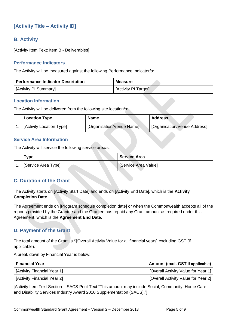# **[Activity Title – Activity ID]**

# **B. Activity**

[Activity Item Text: Item B - Deliverables]

### **Performance Indicators**

The Activity will be measured against the following Performance Indicator/s:

| <b>Performance Indicator Description</b> | Measure              |
|------------------------------------------|----------------------|
| [Activity PI Summary]                    | [Activity PI Target] |

#### **Location Information**

The Activity will be delivered from the following site location/s:

| <b>Location Type</b>     | <b>Name</b>                            | <b>Address</b>               |
|--------------------------|----------------------------------------|------------------------------|
| [Activity Location Type] | <sup>1</sup> [Organisation/Venue Name] | [Organisation/Venue Address] |

#### **Service Area Information**

The Activity will service the following service area/s:

| Type                | <b>Service Area</b>  |
|---------------------|----------------------|
| [Service Area Type] | [Service Area Value] |

## **C. Duration of the Grant**

The Activity starts on [Activity Start Date] and ends on [Activity End Date], which is the **Activity Completion Date**.

The Agreement ends on [Program schedule completion date] or when the Commonwealth accepts all of the reports provided by the Grantee and the Grantee has repaid any Grant amount as required under this Agreement, which is the **Agreement End Date**.

## **D. Payment of the Grant**

The total amount of the Grant is \$[Overall Activity Value for all financial years] excluding GST (if applicable).

A break down by Financial Year is below:

| <b>Financial Year</b>       | Amount (excl. GST if applicable)    |
|-----------------------------|-------------------------------------|
| [Activity Financial Year 1] | [Overall Activity Value for Year 1] |
| [Activity Financial Year 2] | [Overall Activity Value for Year 2] |

[Activity Item Text Section – SACS Print Text "This amount may include Social, Community, Home Care and Disability Services Industry Award 2010 Supplementation (SACS)."]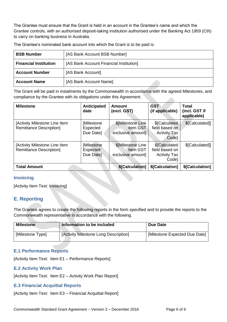The Grantee must ensure that the Grant is held in an account in the Grantee's name and which the Grantee controls, with an authorised deposit-taking institution authorised under the Banking Act 1959 (Cth) to carry on banking business in Australia.

| <b>BSB Number</b>            | [AS Bank Account BSB Number]            |  |
|------------------------------|-----------------------------------------|--|
| <b>Financial Institution</b> | [AS Bank Account Financial Institution] |  |
| <b>Account Number</b>        | [AS Bank Account]                       |  |
| <b>Account Name</b>          | [AS Bank Account Name]                  |  |

The Grantee's nominated bank account into which the Grant is to be paid is:

The Grant will be paid in instalments by the Commonwealth in accordance with the agreed Milestones, and compliance by the Grantee with its obligations under this Agreement.

| <b>Milestone</b>                                                | Anticipated<br>date                  | Amount<br>(excl. GST)                              | <b>GST</b><br>(if applicable)                                   | <b>Total</b><br>(incl. GST if<br>applicable) |
|-----------------------------------------------------------------|--------------------------------------|----------------------------------------------------|-----------------------------------------------------------------|----------------------------------------------|
| [Activity Milestone Line Item<br><b>Remittance Description]</b> | [Milestone]<br>Expected<br>Due Date] | \$[Milestone Line<br>Item GST<br>exclusive amount] | \$[Calculated<br>field based on<br><b>Activity Tax</b><br>Code] | \$[Calculated]]                              |
| [Activity Milestone Line Item<br><b>Remittance Description]</b> | [Milestone<br>Expected<br>Due Date]  | \$[Milestone Line<br>Item GST<br>exclusive amount] | \$[Calculated<br>field based on<br><b>Activity Tax</b><br>Code] | \$[Calculated]]                              |
| <b>Total Amount</b>                                             |                                      | \$[Calculation]                                    | \$[Calculation]                                                 | \$[Calculation]                              |

#### **Invoicing**

[Activity Item Text: Invoicing]

# **E. Reporting**

The Grantee agrees to create the following reports in the form specified and to provide the reports to the Commonwealth representative in accordance with the following.

| <b>Milestone</b> | Information to be included            | <b>Due Date</b>               |
|------------------|---------------------------------------|-------------------------------|
| [Milestone Type] | [Activity Milestone Long Description] | [Milestone Expected Due Date] |

#### **E.1 Performance Reports**

[Activity Item Text: Item E1 – Performance Reports]

#### **E.2 Activity Work Plan**

[Activity Item Text: Item E2 – Activity Work Plan Report]

#### **E.3 Financial Acquittal Reports**

[Activity Item Text: Item E3 – Financial Acquittal Report]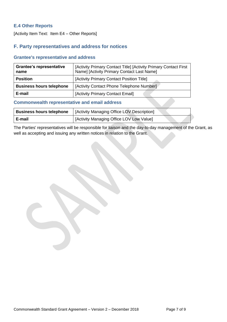## **E.4 Other Reports**

[Activity Item Text: Item E4 – Other Reports]

# **F. Party representatives and address for notices**

#### **Grantee's representative and address**

| <b>Grantee's representative</b><br>name | [Activity Primary Contact Title] [Activity Primary Contact First<br>Name] [Activity Primary Contact Last Name] |
|-----------------------------------------|----------------------------------------------------------------------------------------------------------------|
| <b>Position</b>                         | [Activity Primary Contact Position Title]                                                                      |
| <b>Business hours telephone</b>         | [Activity Contact Phone Telephone Number]                                                                      |
| E-mail                                  | [Activity Primary Contact Email]                                                                               |

#### **Commonwealth representative and email address**

| <b>Business hours telephone</b> | [Activity Managing Office LOV Description] |  |  |
|---------------------------------|--------------------------------------------|--|--|
| E-mail                          | [Activity Managing Office LOV Low Value]   |  |  |

The Parties' representatives will be responsible for liaison and the day-to-day management of the Grant, as well as accepting and issuing any written notices in relation to the Grant.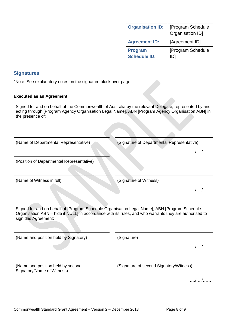| <b>Organisation ID:</b>               | [Program Schedule<br>Organisation ID] |
|---------------------------------------|---------------------------------------|
| <b>Agreement ID:</b>                  | [Agreement ID]                        |
| <b>Program</b><br><b>Schedule ID:</b> | [Program Schedule<br>ID1              |

### **Signatures**

\*Note: See explanatory notes on the signature block over page

#### **Executed as an Agreement**

Signed for and on behalf of the Commonwealth of Australia by the relevant Delegate, represented by and acting through [Program Agency Organisation Legal Name], ABN [Program Agency Organisation ABN] in the presence of:

| (Name of Departmental Representative)                                                                                                                                                                                           | (Signature of Departmental Representative) |
|---------------------------------------------------------------------------------------------------------------------------------------------------------------------------------------------------------------------------------|--------------------------------------------|
|                                                                                                                                                                                                                                 | //                                         |
| (Position of Departmental Representative)                                                                                                                                                                                       |                                            |
|                                                                                                                                                                                                                                 |                                            |
| (Name of Witness in full)                                                                                                                                                                                                       | (Signature of Witness)                     |
|                                                                                                                                                                                                                                 | $\ldots$ / $\ldots$ / $\ldots$ .           |
| Signed for and on behalf of [Program Schedule Organisation Legal Name], ABN [Program Schedule<br>Organisation ABN - hide if NULL] in accordance with its rules, and who warrants they are authorised to<br>sign this Agreement: |                                            |
| (Name and position held by Signatory)                                                                                                                                                                                           | (Signature)                                |
|                                                                                                                                                                                                                                 | . <i>.</i>                                 |
| (Name and position held by second<br>Signatory/Name of Witness)                                                                                                                                                                 | (Signature of second Signatory/Witness)    |
|                                                                                                                                                                                                                                 |                                            |